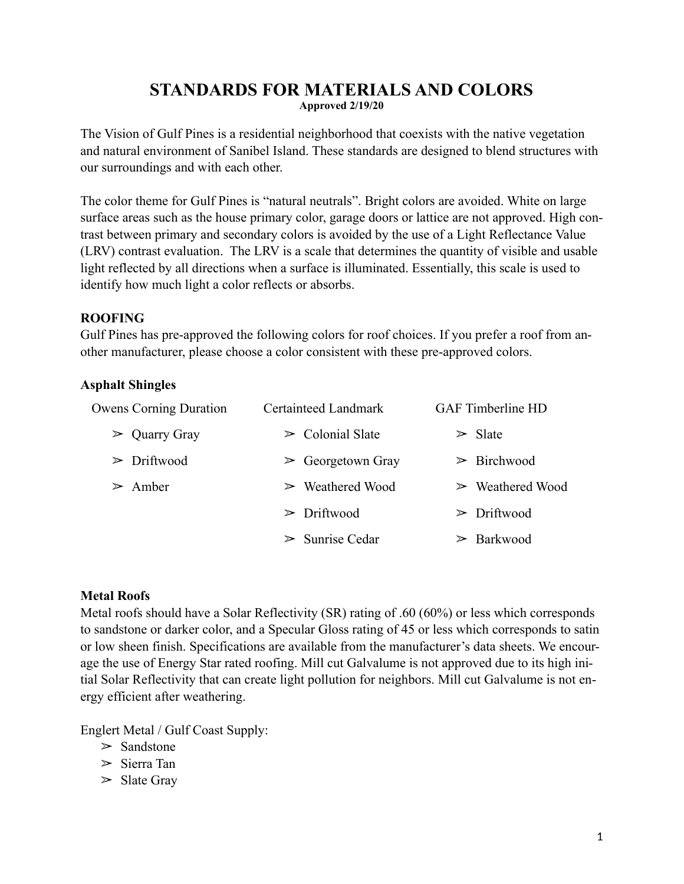# **STANDARDS FOR MATERIALS AND COLORS Approved 2/19/20**

The Vision of Gulf Pines is a residential neighborhood that coexists with the native vegetation and natural environment of Sanibel Island. These standards are designed to blend structures with our surroundings and with each other.

The color theme for Gulf Pines is "natural neutrals". Bright colors are avoided. White on large surface areas such as the house primary color, garage doors or lattice are not approved. High contrast between primary and secondary colors is avoided by the use of a Light Reflectance Value (LRV) contrast evaluation. The LRV is a scale that determines the quantity of visible and usable light reflected by all directions when a surface is illuminated. Essentially, this scale is used to identify how much light a color reflects or absorbs.

### **ROOFING**

Gulf Pines has pre-approved the following colors for roof choices. If you prefer a roof from another manufacturer, please choose a color consistent with these pre-approved colors.

## **Asphalt Shingles**

| <b>Owens Corning Duration</b> | Certainteed Landmark             | <b>GAF</b> Timberline HD        |
|-------------------------------|----------------------------------|---------------------------------|
| $\triangleright$ Quarry Gray  | $\triangleright$ Colonial Slate  | $\triangleright$ Slate          |
| $\triangleright$ Driftwood    | $\triangleright$ Georgetown Gray | $\triangleright$ Birchwood      |
| $\geq$ Amber                  | $\triangleright$ Weathered Wood  | $\triangleright$ Weathered Wood |
|                               | $\triangleright$ Driftwood       | $\triangleright$ Driftwood      |
|                               | $\triangleright$ Sunrise Cedar   | $\geq$ Barkwood                 |

# **Metal Roofs**

Metal roofs should have a Solar Reflectivity (SR) rating of .60 (60%) or less which corresponds to sandstone or darker color, and a Specular Gloss rating of 45 or less which corresponds to satin or low sheen finish. Specifications are available from the manufacturer's data sheets. We encourage the use of Energy Star rated roofing. Mill cut Galvalume is not approved due to its high initial Solar Reflectivity that can create light pollution for neighbors. Mill cut Galvalume is not energy efficient after weathering.

Englert Metal / Gulf Coast Supply:

- $\ge$  Sandstone
- ➢ Sierra Tan
- $\triangleright$  Slate Gray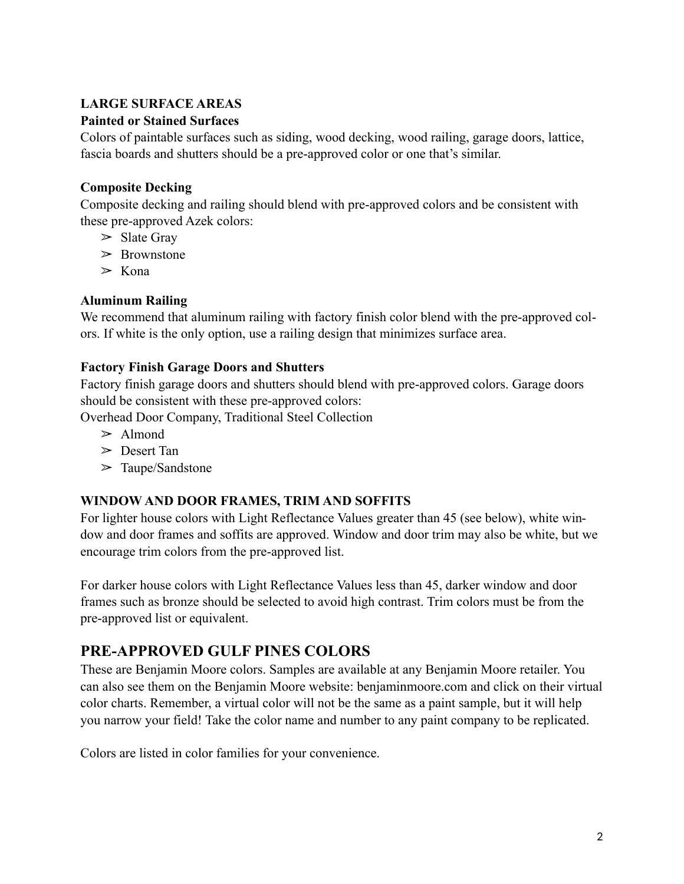# **LARGE SURFACE AREAS**

### **Painted or Stained Surfaces**

Colors of paintable surfaces such as siding, wood decking, wood railing, garage doors, lattice, fascia boards and shutters should be a pre-approved color or one that's similar.

### **Composite Decking**

Composite decking and railing should blend with pre-approved colors and be consistent with these pre-approved Azek colors:

- $\triangleright$  Slate Gray
- $\geq$  Brownstone
- $\geq$  Kona

## **Aluminum Railing**

We recommend that aluminum railing with factory finish color blend with the pre-approved colors. If white is the only option, use a railing design that minimizes surface area.

### **Factory Finish Garage Doors and Shutters**

Factory finish garage doors and shutters should blend with pre-approved colors. Garage doors should be consistent with these pre-approved colors:

Overhead Door Company, Traditional Steel Collection

- $\geq$  Almond
- ➢ Desert Tan
- $\geq$  Taupe/Sandstone

# **WINDOW AND DOOR FRAMES, TRIM AND SOFFITS**

For lighter house colors with Light Reflectance Values greater than 45 (see below), white window and door frames and soffits are approved. Window and door trim may also be white, but we encourage trim colors from the pre-approved list.

For darker house colors with Light Reflectance Values less than 45, darker window and door frames such as bronze should be selected to avoid high contrast. Trim colors must be from the pre-approved list or equivalent.

# **PRE-APPROVED GULF PINES COLORS**

These are Benjamin Moore colors. Samples are available at any Benjamin Moore retailer. You can also see them on the Benjamin Moore website: benjaminmoore.com and click on their virtual color charts. Remember, a virtual color will not be the same as a paint sample, but it will help you narrow your field! Take the color name and number to any paint company to be replicated.

Colors are listed in color families for your convenience.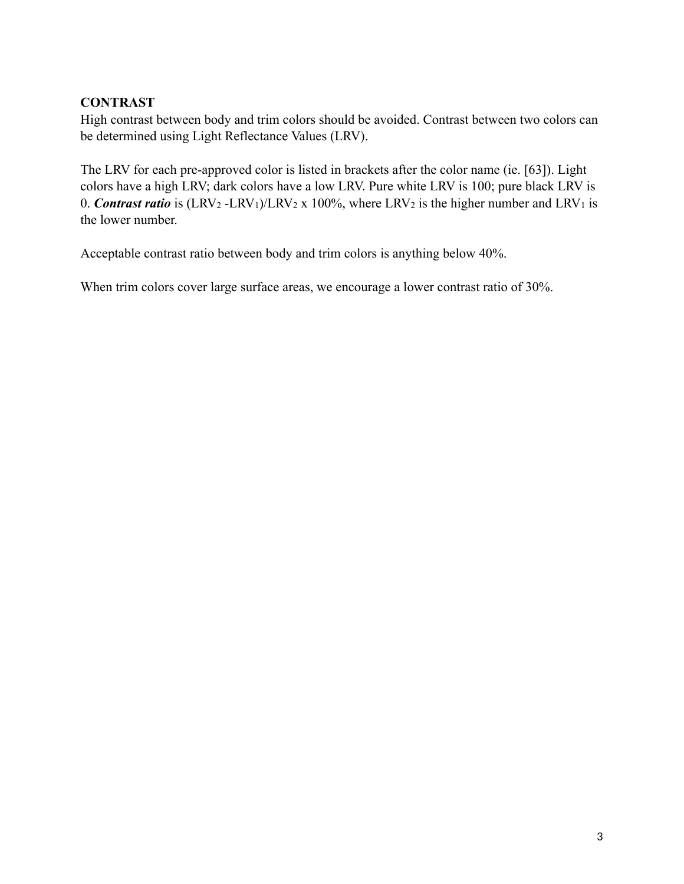## **CONTRAST**

High contrast between body and trim colors should be avoided. Contrast between two colors can be determined using Light Reflectance Values (LRV).

The LRV for each pre-approved color is listed in brackets after the color name (ie. [63]). Light colors have a high LRV; dark colors have a low LRV. Pure white LRV is 100; pure black LRV is 0. *Contrast ratio* is  $(LRV_2 - LRV_1)/LRV_2 \times 100\%$ , where  $LRV_2$  is the higher number and  $LRV_1$  is the lower number.

Acceptable contrast ratio between body and trim colors is anything below 40%.

When trim colors cover large surface areas, we encourage a lower contrast ratio of 30%.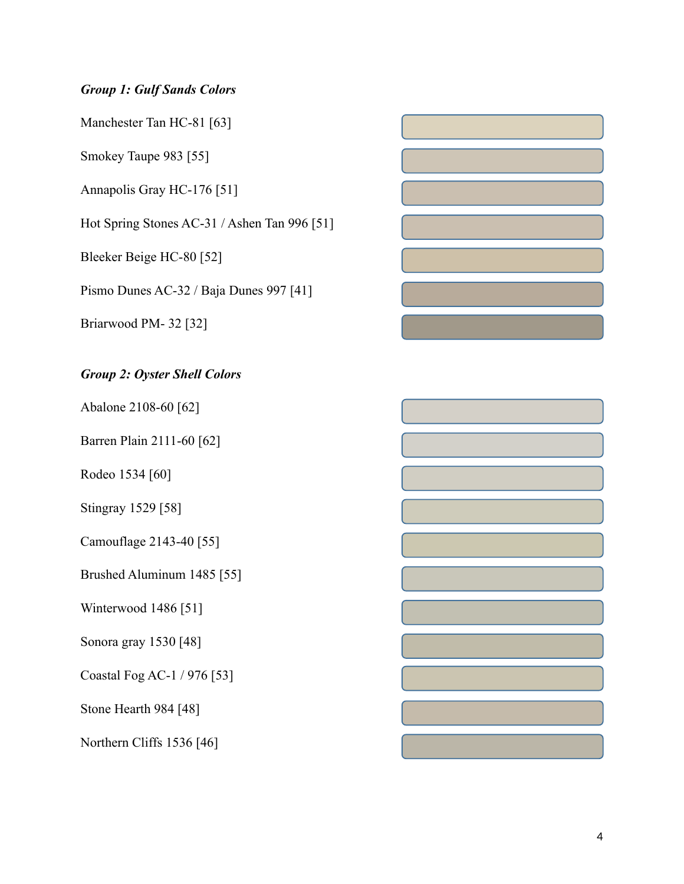## *Group 1: Gulf Sands Colors*

Manchester Tan HC-81 [63]

Smokey Taupe 983 [55]

Annapolis Gray HC-176 [51]

Hot Spring Stones AC-31 / Ashen Tan 996 [51]

Bleeker Beige HC-80 [52]

Pismo Dunes AC-32 / Baja Dunes 997 [41]

Briarwood PM- 32 [32]

## *Group 2: Oyster Shell Colors*

Abalone 2108-60 [62]

Barren Plain 2111-60 [62]

Rodeo 1534 [60]

Stingray 1529 [58]

Camouflage 2143-40 [55]

Brushed Aluminum 1485 [55]

Winterwood 1486 [51]

Sonora gray 1530 [48]

Coastal Fog AC-1 / 976 [53]

Stone Hearth 984 [48]

Northern Cliffs 1536 [46]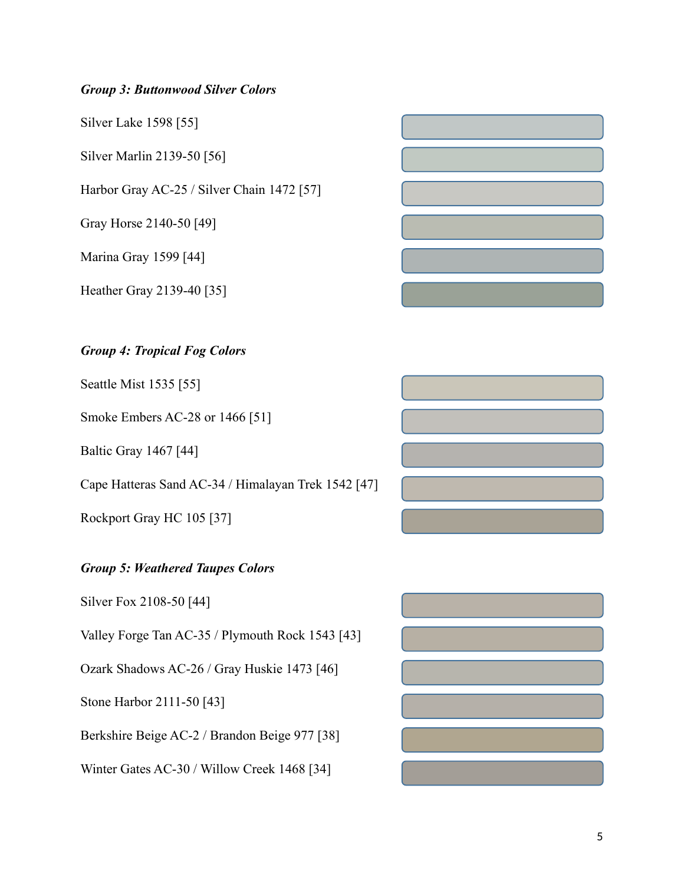# *Group 3: Buttonwood Silver Colors*

Silver Lake 1598 [55]

Silver Marlin 2139-50 [56]

Harbor Gray AC-25 / Silver Chain 1472 [57]

Gray Horse 2140-50 [49]

Marina Gray 1599 [44]

Heather Gray 2139-40 [35]

### *Group 4: Tropical Fog Colors*

Seattle Mist 1535 [55]

Smoke Embers AC-28 or 1466 [51]

Baltic Gray 1467 [44]

Cape Hatteras Sand AC-34 / Himalayan Trek 1542 [47]

Rockport Gray HC 105 [37]

### *Group 5: Weathered Taupes Colors*

Silver Fox 2108-50 [44]

Valley Forge Tan AC-35 / Plymouth Rock 1543 [43]

Ozark Shadows AC-26 / Gray Huskie 1473 [46]

Stone Harbor 2111-50 [43]

Berkshire Beige AC-2 / Brandon Beige 977 [38]

Winter Gates AC-30 / Willow Creek 1468 [34]

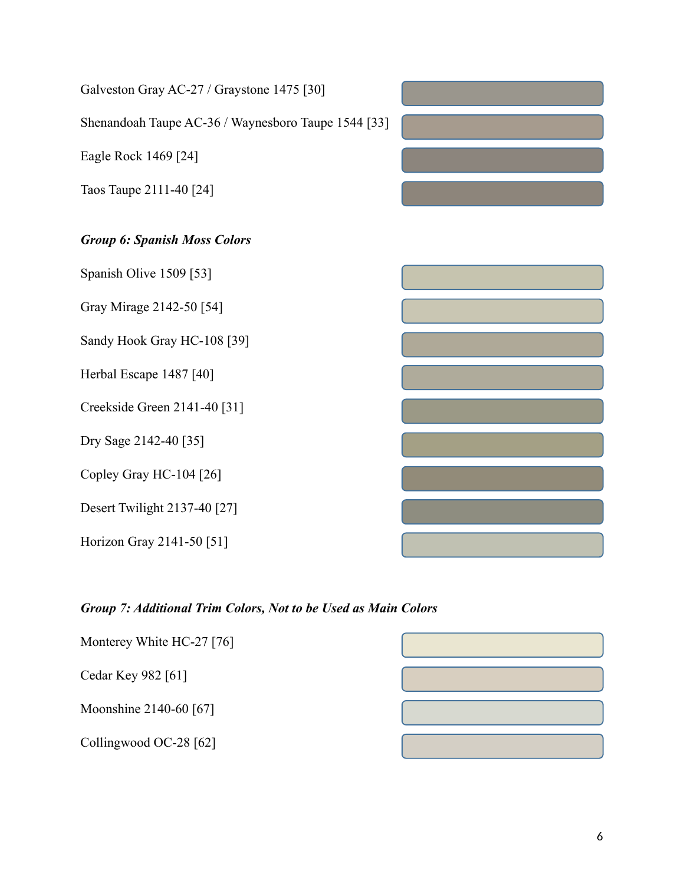| Galveston Gray AC-27 / Graystone 1475 [30]          |  |
|-----------------------------------------------------|--|
| Shenandoah Taupe AC-36 / Waynesboro Taupe 1544 [33] |  |
| Eagle Rock 1469 [24]                                |  |
| Taos Taupe 2111-40 [24]                             |  |
| <b>Group 6: Spanish Moss Colors</b>                 |  |
| Spanish Olive 1509 [53]                             |  |
| Gray Mirage 2142-50 [54]                            |  |
| Sandy Hook Gray HC-108 [39]                         |  |
| Herbal Escape 1487 [40]                             |  |
| Creekside Green 2141-40 [31]                        |  |
| Dry Sage 2142-40 [35]                               |  |
| Copley Gray HC-104 [26]                             |  |
| Desert Twilight 2137-40 [27]                        |  |
| Horizon Gray 2141-50 [51]                           |  |

# *Group 7: Additional Trim Colors, Not to be Used as Main Colors*

| Monterey White HC-27 [76] |  |
|---------------------------|--|
| Cedar Key 982 [61]        |  |
| Moonshine 2140-60 [67]    |  |
| Collingwood OC-28 [62]    |  |